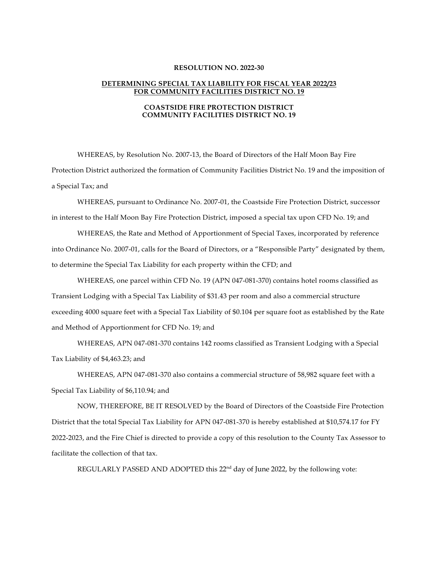## **RESOLUTION NO. 2022-30**

## **DETERMINING SPECIAL TAX LIABILITY FOR FISCAL YEAR 2022/23 FOR COMMUNITY FACILITIES DISTRICT NO. 19**

## **COASTSIDE FIRE PROTECTION DISTRICT COMMUNITY FACILITIES DISTRICT NO. 19**

WHEREAS, by Resolution No. 2007-13, the Board of Directors of the Half Moon Bay Fire Protection District authorized the formation of Community Facilities District No. 19 and the imposition of a Special Tax; and

WHEREAS, pursuant to Ordinance No. 2007-01, the Coastside Fire Protection District, successor in interest to the Half Moon Bay Fire Protection District, imposed a special tax upon CFD No. 19; and

WHEREAS, the Rate and Method of Apportionment of Special Taxes, incorporated by reference into Ordinance No. 2007-01, calls for the Board of Directors, or a "Responsible Party" designated by them, to determine the Special Tax Liability for each property within the CFD; and

WHEREAS, one parcel within CFD No. 19 (APN 047-081-370) contains hotel rooms classified as Transient Lodging with a Special Tax Liability of \$31.43 per room and also a commercial structure exceeding 4000 square feet with a Special Tax Liability of \$0.104 per square foot as established by the Rate and Method of Apportionment for CFD No. 19; and

WHEREAS, APN 047-081-370 contains 142 rooms classified as Transient Lodging with a Special Tax Liability of \$4,463.23; and

WHEREAS, APN 047-081-370 also contains a commercial structure of 58,982 square feet with a Special Tax Liability of \$6,110.94; and

NOW, THEREFORE, BE IT RESOLVED by the Board of Directors of the Coastside Fire Protection District that the total Special Tax Liability for APN 047-081-370 is hereby established at \$10,574.17 for FY 2022-2023, and the Fire Chief is directed to provide a copy of this resolution to the County Tax Assessor to facilitate the collection of that tax.

REGULARLY PASSED AND ADOPTED this 22<sup>nd</sup> day of June 2022, by the following vote: